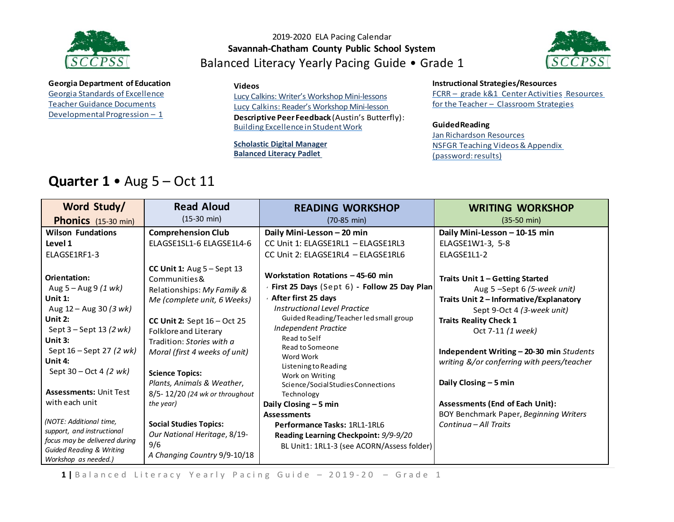

#### 2019-2020 ELA Pacing Calendar **Savannah-Chatham County Public School System** Balanced Literacy Yearly Pacing Guide • Grade 1



**Georgia Department of Education** Georgia Standards of [Excellence](https://drive.google.com/open?id=0ByacPIqPkdVwREF0VmVYbUkzREU) Teacher Guidance Documents Developmental Progression  $-1$ 

#### **Videos**

[Lucy Calkins: Writer's Workshop Mini-lessons](https://www.youtube.com/watch?v=zPRM2ZXyrS0&list=PLb5RXypPqP5sNAYNUDEfwaq2QYPauhCcc) Lucy Calkins: Reader's Workshop Mini-lesson

**Descriptive Peer Feedback** (Austin's Butterfly): Building [ExcellenceinStudentWork](https://vimeo.com/38247060)

**[Scholastic Digital Manager](https://digital.scholastic.com/#/signin) [Balanced Literacy Padlet](https://padlet.com/janet_junco/p9tlqzh52l56)**

**Instructional Strategies/Resources**

FCRR – grade k&1 Center [Activities](http://www.fcrr.org/resources/resources_sca_k-1.html) [Resources](http://www.fcrr.org/resources/resources_sca_k-1.html) for the Teacher – [Classroom](http://www.fortheteachers.org/instructional_strategies/) Strategies

#### **GuidedReading**

Jan [Richardson Resources](http://www.janrichardsonguidedreading.com/resources-1) NSFGR Teaching Videos& Appendix (password: results)

### **Quarter 1** • Aug 5 – Oct 11

| Word Study/                                                                                                                                                                                                                                                                                 | <b>Read Aloud</b>                                                                                                                                                                                                                                                                                                                                                          | <b>READING WORKSHOP</b>                                                                                                                                                                                                                                                                                                                                                                                                                   | <b>WRITING WORKSHOP</b>                                                                                                                                                                                                                                                                                                                                                                                                      |
|---------------------------------------------------------------------------------------------------------------------------------------------------------------------------------------------------------------------------------------------------------------------------------------------|----------------------------------------------------------------------------------------------------------------------------------------------------------------------------------------------------------------------------------------------------------------------------------------------------------------------------------------------------------------------------|-------------------------------------------------------------------------------------------------------------------------------------------------------------------------------------------------------------------------------------------------------------------------------------------------------------------------------------------------------------------------------------------------------------------------------------------|------------------------------------------------------------------------------------------------------------------------------------------------------------------------------------------------------------------------------------------------------------------------------------------------------------------------------------------------------------------------------------------------------------------------------|
| Phonics (15-30 min)                                                                                                                                                                                                                                                                         | $(15-30 \text{ min})$                                                                                                                                                                                                                                                                                                                                                      | $(70-85 \text{ min})$                                                                                                                                                                                                                                                                                                                                                                                                                     | $(35-50 \text{ min})$                                                                                                                                                                                                                                                                                                                                                                                                        |
| <b>Wilson Fundations</b>                                                                                                                                                                                                                                                                    | <b>Comprehension Club</b>                                                                                                                                                                                                                                                                                                                                                  | Daily Mini-Lesson - 20 min                                                                                                                                                                                                                                                                                                                                                                                                                | Daily Mini-Lesson - 10-15 min                                                                                                                                                                                                                                                                                                                                                                                                |
| Level 1                                                                                                                                                                                                                                                                                     | ELAGSE1SL1-6 ELAGSE1L4-6                                                                                                                                                                                                                                                                                                                                                   | CC Unit 1: ELAGSE1RL1 - ELAGSE1RL3                                                                                                                                                                                                                                                                                                                                                                                                        | ELAGSE1W1-3, 5-8                                                                                                                                                                                                                                                                                                                                                                                                             |
| ELAGSE1RF1-3                                                                                                                                                                                                                                                                                |                                                                                                                                                                                                                                                                                                                                                                            | CC Unit 2: ELAGSE1RL4 - ELAGSE1RL6                                                                                                                                                                                                                                                                                                                                                                                                        | ELAGSE1L1-2                                                                                                                                                                                                                                                                                                                                                                                                                  |
| Orientation:<br>Aug 5 – Aug 9 <i>(1 wk)</i><br>Unit $1$ :<br>Aug $12 -$ Aug 30 (3 wk)<br>Unit $2:$<br>Sept $3 -$ Sept 13 (2 wk)<br>Unit 3:<br>Sept 16 – Sept 27 (2 wk)<br>Unit 4:<br>Sept $30 - Oct 4 (2 wk)$<br><b>Assessments: Unit Test</b><br>with each unit<br>(NOTE: Additional time, | CC Unit 1: $Aug 5 - Sept 13$<br>Communities &<br>Relationships: My Family &<br>Me (complete unit, 6 Weeks)<br>CC Unit 2: Sept $16 - Oct$ 25<br>Folklore and Literary<br>Tradition: Stories with a<br>Moral (first 4 weeks of unit)<br><b>Science Topics:</b><br>Plants, Animals & Weather,<br>8/5-12/20 (24 wk or throughout<br>the year)<br><b>Social Studies Topics:</b> | Workstation Rotations - 45-60 min<br>First 25 Days (Sept 6) - Follow 25 Day Plan<br>← After first 25 days<br>Instructional Level Practice<br>Guided Reading/Teacher led small group<br>Independent Practice<br>Read to Self<br>Read to Someone<br>Word Work<br>Listening to Reading<br>Work on Writing<br>Science/Social Studies Connections<br>Technology<br>Daily Closing - 5 min<br><b>Assessments</b><br>Performance Tasks: 1RL1-1RL6 | Traits Unit 1 - Getting Started<br>Aug 5-Sept 6 (5-week unit)<br>Traits Unit 2 - Informative/Explanatory<br>Sept 9-Oct 4 (3-week unit)<br><b>Traits Reality Check 1</b><br>Oct 7-11 (1 week)<br>Independent Writing - 20-30 min Students<br>writing &/or conferring with peers/teacher<br>Daily Closing - 5 min<br><b>Assessments (End of Each Unit):</b><br>BOY Benchmark Paper, Beginning Writers<br>Continua - All Traits |
| support, and instructional<br>focus may be delivered during<br><b>Guided Reading &amp; Writing</b><br>Workshop as needed.)                                                                                                                                                                  | Our National Heritage, 8/19-<br>9/6<br>A Changing Country 9/9-10/18                                                                                                                                                                                                                                                                                                        | Reading Learning Checkpoint: 9/9-9/20<br>BL Unit1: 1RL1-3 (see ACORN/Assess folder)                                                                                                                                                                                                                                                                                                                                                       |                                                                                                                                                                                                                                                                                                                                                                                                                              |

1 | Balanced Literacy Yearly Pacing Guide - 2019-20 - Grade 1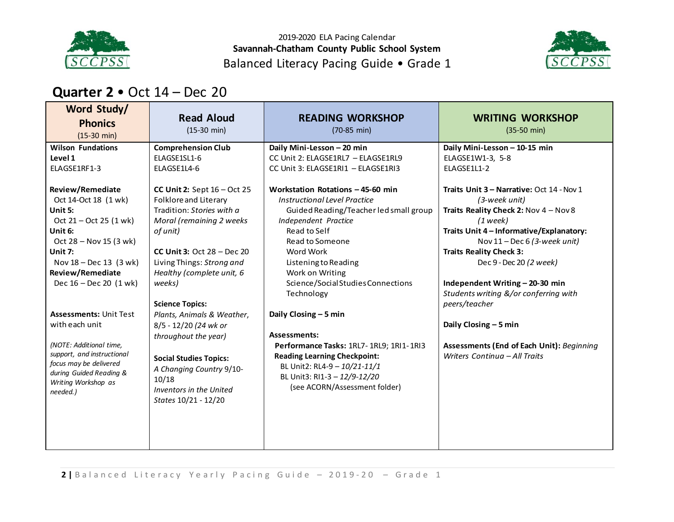

2019-2020 ELA Pacing Calendar **Savannah-Chatham County Public School System** Balanced Literacy Pacing Guide • Grade 1



### **Quarter 2** • Oct 14 – Dec 20

| Word Study/<br><b>Phonics</b><br>$(15-30 \text{ min})$                                                                                                                             | <b>Read Aloud</b><br>$(15-30 \text{ min})$                                                                                                                                              | <b>READING WORKSHOP</b><br>$(70-85 \text{ min})$                                                                                                                                                                                                                                        | <b>WRITING WORKSHOP</b><br>$(35-50 \text{ min})$                                                                                                                                                                                                                              |
|------------------------------------------------------------------------------------------------------------------------------------------------------------------------------------|-----------------------------------------------------------------------------------------------------------------------------------------------------------------------------------------|-----------------------------------------------------------------------------------------------------------------------------------------------------------------------------------------------------------------------------------------------------------------------------------------|-------------------------------------------------------------------------------------------------------------------------------------------------------------------------------------------------------------------------------------------------------------------------------|
| <b>Wilson Fundations</b><br>Level 1<br>ELAGSE1RF1-3<br><b>Review/Remediate</b><br>Oct 14-Oct 18 (1 wk)<br>Unit 5:<br>Oct $21 - Oct 25 (1 wk)$<br>Unit 6:<br>Oct 28 - Nov 15 (3 wk) | <b>Comprehension Club</b><br>ELAGSE1SL1-6<br>ELAGSE1L4-6<br>CC Unit 2: Sept $16 - Oct$ 25<br>Folklore and Literary<br>Tradition: Stories with a<br>Moral (remaining 2 weeks<br>of unit) | Daily Mini-Lesson - 20 min<br>CC Unit 2: ELAGSE1RL7 - ELAGSE1RL9<br>CC Unit 3: ELAGSE1RI1 - ELAGSE1RI3<br>Workstation Rotations - 45-60 min<br><b>Instructional Level Practice</b><br>Guided Reading/Teacher led small group<br>Independent Practice<br>Read to Self<br>Read to Someone | Daily Mini-Lesson - 10-15 min<br>ELAGSE1W1-3, 5-8<br>ELAGSE1L1-2<br>Traits Unit 3 - Narrative: Oct 14 - Nov 1<br>(3-week unit)<br>Traits Reality Check 2: Nov $4 -$ Nov 8<br>$(1$ week)<br>Traits Unit 4 - Informative/Explanatory:<br>Nov $11 - \text{Dec } 6$ (3-week unit) |
| Unit 7:<br>Nov 18 - Dec 13 (3 wk)<br><b>Review/Remediate</b><br>Dec $16 - Dec 20$ (1 wk)<br><b>Assessments: Unit Test</b>                                                          | CC Unit 3: Oct $28 - Dec 20$<br>Living Things: Strong and<br>Healthy (complete unit, 6<br>weeks)<br><b>Science Topics:</b><br>Plants, Animals & Weather,                                | Word Work<br>Listening to Reading<br>Work on Writing<br>Science/Social Studies Connections<br>Technology<br>Daily Closing - 5 min                                                                                                                                                       | <b>Traits Reality Check 3:</b><br>Dec 9 - Dec 20 (2 week)<br>Independent Writing - 20-30 min<br>Students writing &/or conferring with<br>peers/teacher                                                                                                                        |
| with each unit<br>(NOTE: Additional time,<br>support, and instructional<br>focus may be delivered<br>during Guided Reading &<br>Writing Workshop as<br>needed.)                    | 8/5 - 12/20 (24 wk or<br>throughout the year)<br><b>Social Studies Topics:</b><br>A Changing Country 9/10-<br>10/18<br>Inventors in the United<br>States 10/21 - 12/20                  | <b>Assessments:</b><br>Performance Tasks: 1RL7-1RL9; 1RI1-1RI3<br><b>Reading Learning Checkpoint:</b><br>BL Unit2: RL4-9 - 10/21-11/1<br>BL Unit3: RI1-3 - 12/9-12/20<br>(see ACORN/Assessment folder)                                                                                  | Daily Closing - 5 min<br>Assessments (End of Each Unit): Beginning<br>Writers Continua - All Traits                                                                                                                                                                           |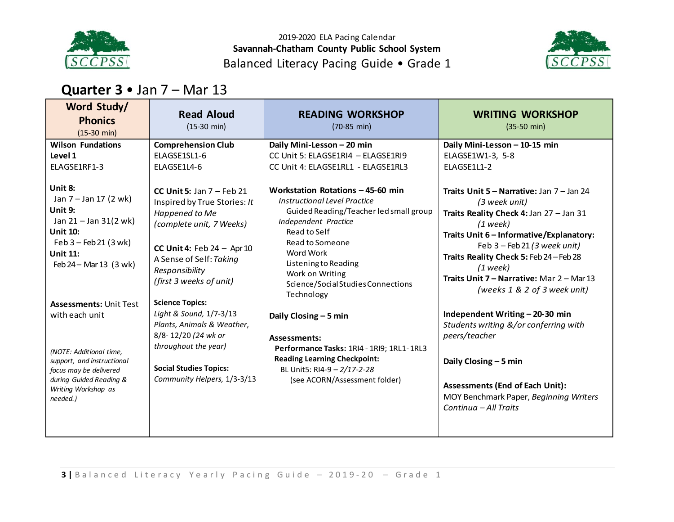

2019-2020 ELA Pacing Calendar **Savannah-Chatham County Public School System** Balanced Literacy Pacing Guide • Grade 1



## **Quarter 3** • Jan 7 – Mar 13

| Word Study/<br><b>Phonics</b><br>$(15-30 \text{ min})$                                                                                                                                                       | <b>Read Aloud</b><br>$(15-30 \text{ min})$                                                                                                                                                                                                  | <b>READING WORKSHOP</b><br>(70-85 min)                                                                                                                                                                                                                                                    | <b>WRITING WORKSHOP</b><br>$(35-50 \text{ min})$                                                                                                                                                                                                                                                                                                |
|--------------------------------------------------------------------------------------------------------------------------------------------------------------------------------------------------------------|---------------------------------------------------------------------------------------------------------------------------------------------------------------------------------------------------------------------------------------------|-------------------------------------------------------------------------------------------------------------------------------------------------------------------------------------------------------------------------------------------------------------------------------------------|-------------------------------------------------------------------------------------------------------------------------------------------------------------------------------------------------------------------------------------------------------------------------------------------------------------------------------------------------|
| <b>Wilson Fundations</b><br>Level 1<br>ELAGSE1RF1-3                                                                                                                                                          | <b>Comprehension Club</b><br>ELAGSE1SL1-6<br>ELAGSE1L4-6                                                                                                                                                                                    | Daily Mini-Lesson - 20 min<br>CC Unit 5: ELAGSE1RI4 - ELAGSE1RI9<br>CC Unit 4: ELAGSE1RL1 - ELAGSE1RL3                                                                                                                                                                                    | Daily Mini-Lesson - 10-15 min<br>ELAGSE1W1-3, 5-8<br><b>ELAGSE1L1-2</b>                                                                                                                                                                                                                                                                         |
| Unit 8:<br>Jan 7 - Jan 17 (2 wk)<br>Unit 9:<br>Jan $21 -$ Jan $31(2 \text{ wk})$<br><b>Unit 10:</b><br>$Feb 3 - Feb 21 (3 wk)$<br><b>Unit 11:</b><br>Feb 24 - Mar 13 (3 wk)<br><b>Assessments: Unit Test</b> | CC Unit 5: Jan $7$ – Feb 21<br>Inspired by True Stories: It<br>Happened to Me<br>(complete unit, 7 Weeks)<br>CC Unit 4: Feb $24 -$ Apr 10<br>A Sense of Self: Taking<br>Responsibility<br>(first 3 weeks of unit)<br><b>Science Topics:</b> | Workstation Rotations - 45-60 min<br><b>Instructional Level Practice</b><br>Guided Reading/Teacher led small group<br>Independent Practice<br>Read to Self<br>Read to Someone<br>Word Work<br>Listening to Reading<br>Work on Writing<br>Science/Social Studies Connections<br>Technology | Traits Unit $5 -$ Narrative: Jan $7 -$ Jan 24<br>(3 week unit)<br>Traits Reality Check 4: Jan 27 - Jan 31<br>$(1$ week)<br>Traits Unit 6 - Informative/Explanatory:<br>Feb $3 -$ Feb 21 (3 week unit)<br>Traits Reality Check 5: Feb 24 - Feb 28<br>$(1$ week)<br>Traits Unit $7 -$ Narrative: Mar $2 -$ Mar 13<br>(weeks 1 & 2 of 3 week unit) |
| with each unit<br>(NOTE: Additional time,<br>support, and instructional<br>focus may be delivered<br>during Guided Reading &<br>Writing Workshop as<br>needed.)                                              | Light & Sound, 1/7-3/13<br>Plants, Animals & Weather,<br>8/8-12/20 (24 wk or<br>throughout the year)<br><b>Social Studies Topics:</b><br>Community Helpers, 1/3-3/13                                                                        | Daily Closing - 5 min<br><b>Assessments:</b><br>Performance Tasks: 1RI4 - 1RI9; 1RL1-1RL3<br><b>Reading Learning Checkpoint:</b><br>BL Unit5: RI4-9 - 2/17-2-28<br>(see ACORN/Assessment folder)                                                                                          | Independent Writing - 20-30 min<br>Students writing &/or conferring with<br>peers/teacher<br>Daily Closing $-5$ min<br><b>Assessments (End of Each Unit):</b><br>MOY Benchmark Paper, Beginning Writers<br>Continua - All Traits                                                                                                                |